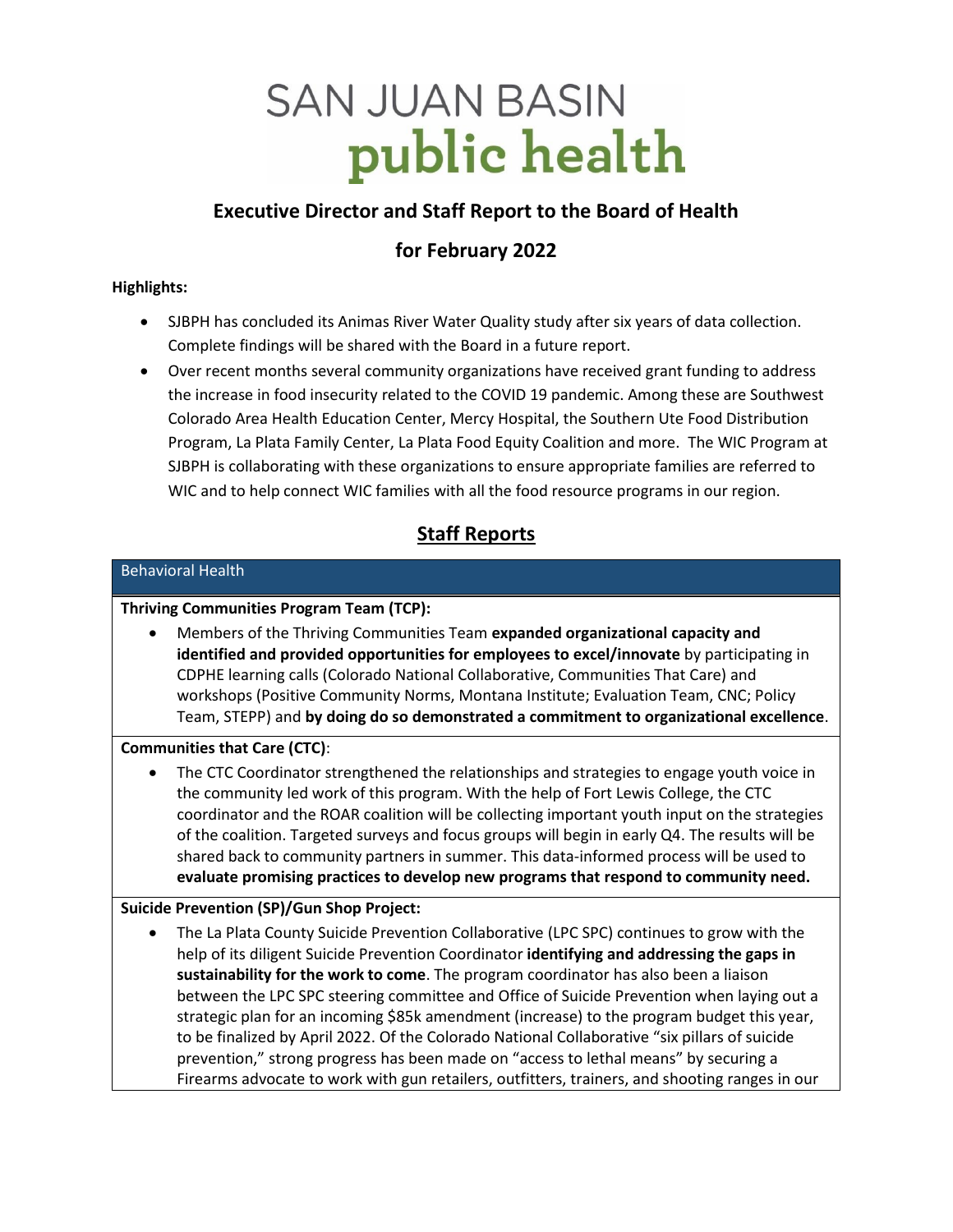# **SAN JUAN BASIN** public health

# **Executive Director and Staff Report to the Board of Health**

# **for February 2022**

# **Highlights:**

- SJBPH has concluded its Animas River Water Quality study after six years of data collection. Complete findings will be shared with the Board in a future report.
- Over recent months several community organizations have received grant funding to address the increase in food insecurity related to the COVID 19 pandemic. Among these are Southwest Colorado Area Health Education Center, Mercy Hospital, the Southern Ute Food Distribution Program, La Plata Family Center, La Plata Food Equity Coalition and more. The WIC Program at SJBPH is collaborating with these organizations to ensure appropriate families are referred to WIC and to help connect WIC families with all the food resource programs in our region.

# **Staff Reports**

# Behavioral Health **Thriving Communities Program Team (TCP):** • Members of the Thriving Communities Team **expanded organizational capacity and identified and provided opportunities for employees to excel/innovate** by participating in CDPHE learning calls (Colorado National Collaborative, Communities That Care) and workshops (Positive Community Norms, Montana Institute; Evaluation Team, CNC; Policy Team, STEPP) and **by doing do so demonstrated a commitment to organizational excellence**. **Communities that Care (CTC)**: • The CTC Coordinator strengthened the relationships and strategies to engage youth voice in the community led work of this program. With the help of Fort Lewis College, the CTC coordinator and the ROAR coalition will be collecting important youth input on the strategies of the coalition. Targeted surveys and focus groups will begin in early Q4. The results will be shared back to community partners in summer. This data-informed process will be used to **evaluate promising practices to develop new programs that respond to community need. Suicide Prevention (SP)/Gun Shop Project:** • The La Plata County Suicide Prevention Collaborative (LPC SPC) continues to grow with the help of its diligent Suicide Prevention Coordinator **identifying and addressing the gaps in sustainability for the work to come**. The program coordinator has also been a liaison between the LPC SPC steering committee and Office of Suicide Prevention when laying out a strategic plan for an incoming \$85k amendment (increase) to the program budget this year, to be finalized by April 2022. Of the Colorado National Collaborative "six pillars of suicide prevention," strong progress has been made on "access to lethal means" by securing a Firearms advocate to work with gun retailers, outfitters, trainers, and shooting ranges in our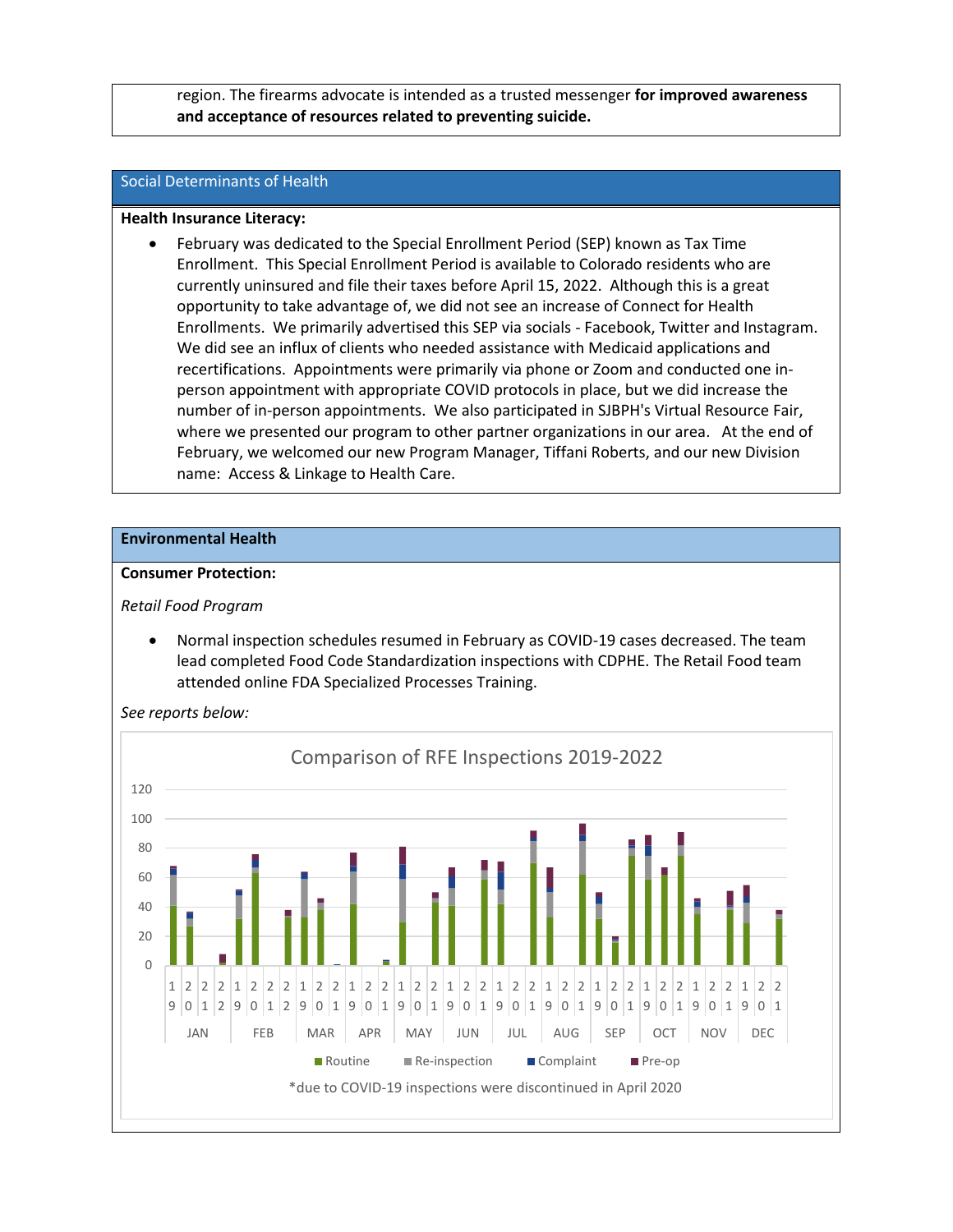region. The firearms advocate is intended as a trusted messenger **for improved awareness and acceptance of resources related to preventing suicide.**

#### Social Determinants of Health

#### **Health Insurance Literacy:**

• February was dedicated to the Special Enrollment Period (SEP) known as Tax Time Enrollment. This Special Enrollment Period is available to Colorado residents who are currently uninsured and file their taxes before April 15, 2022. Although this is a great opportunity to take advantage of, we did not see an increase of Connect for Health Enrollments. We primarily advertised this SEP via socials - Facebook, Twitter and Instagram. We did see an influx of clients who needed assistance with Medicaid applications and recertifications. Appointments were primarily via phone or Zoom and conducted one inperson appointment with appropriate COVID protocols in place, but we did increase the number of in-person appointments. We also participated in SJBPH's Virtual Resource Fair, where we presented our program to other partner organizations in our area. At the end of February, we welcomed our new Program Manager, Tiffani Roberts, and our new Division name: Access & Linkage to Health Care.

#### **Environmental Health**

#### **Consumer Protection:**

#### *Retail Food Program*

• Normal inspection schedules resumed in February as COVID-19 cases decreased. The team lead completed Food Code Standardization inspections with CDPHE. The Retail Food team attended online FDA Specialized Processes Training.



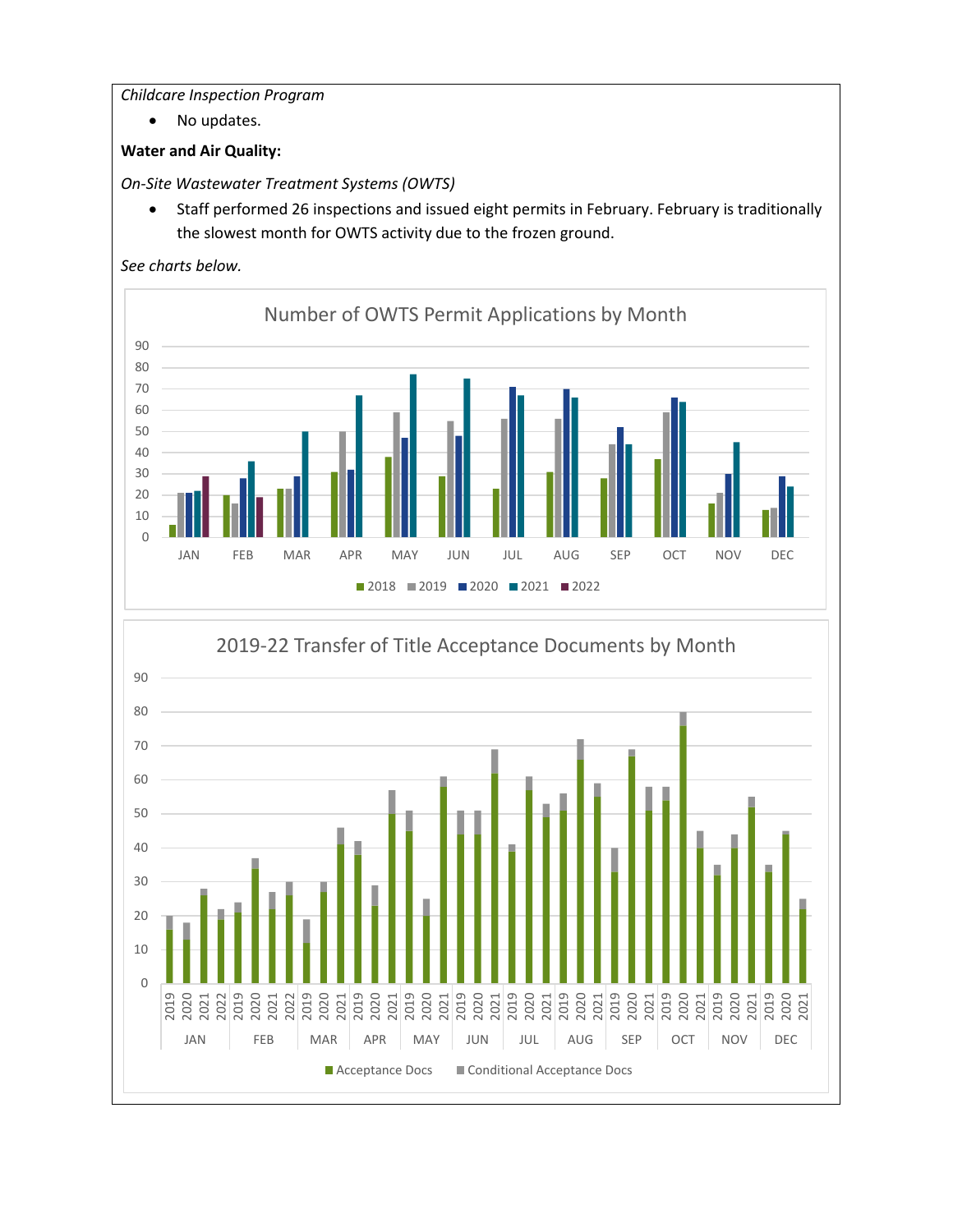## *Childcare Inspection Program*

• No updates.

# **Water and Air Quality:**

*On-Site Wastewater Treatment Systems (OWTS)*

• Staff performed 26 inspections and issued eight permits in February. February is traditionally the slowest month for OWTS activity due to the frozen ground.





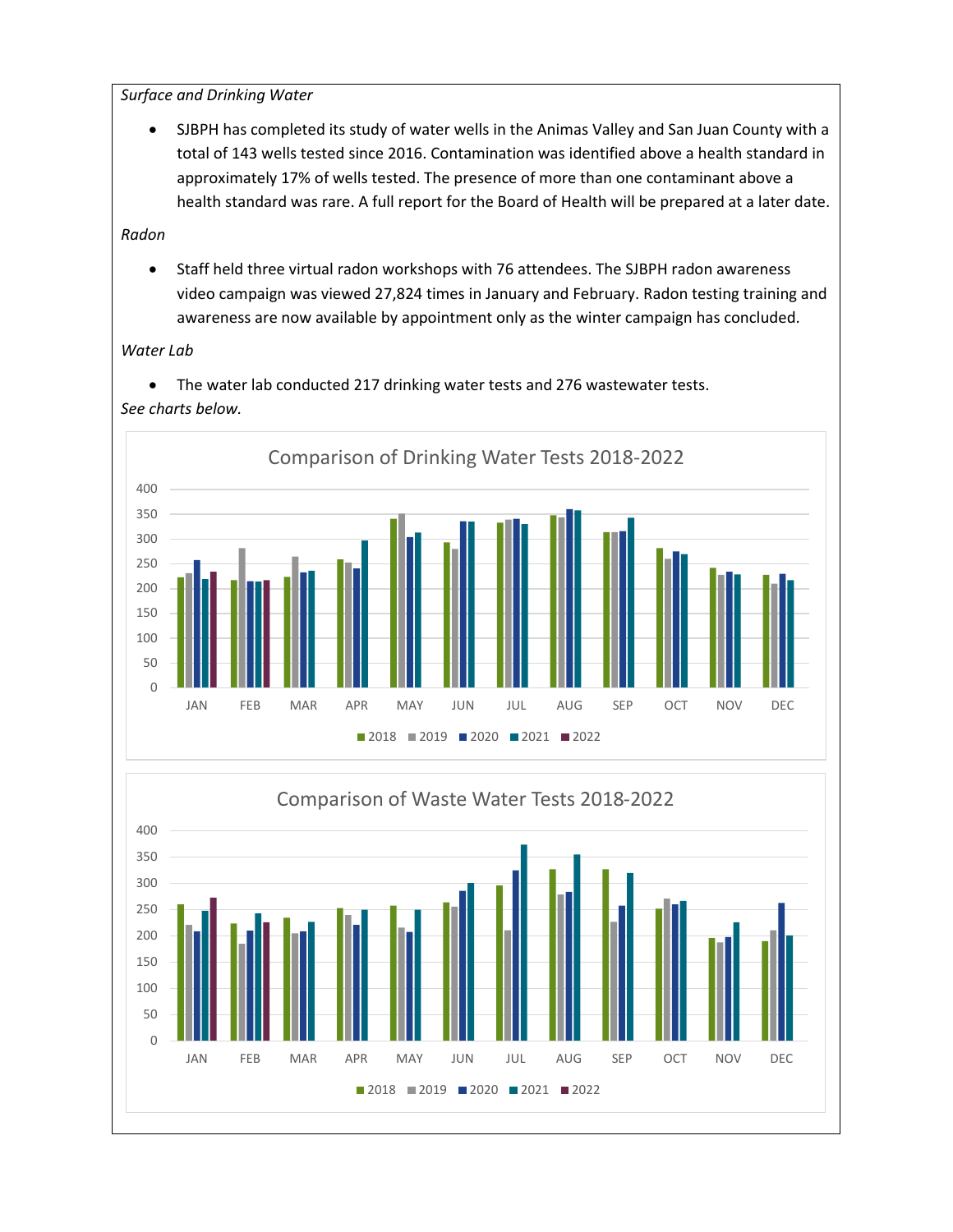*Surface and Drinking Water*

• SJBPH has completed its study of water wells in the Animas Valley and San Juan County with a total of 143 wells tested since 2016. Contamination was identified above a health standard in approximately 17% of wells tested. The presence of more than one contaminant above a health standard was rare. A full report for the Board of Health will be prepared at a later date.

*Radon*

• Staff held three virtual radon workshops with 76 attendees. The SJBPH radon awareness video campaign was viewed 27,824 times in January and February. Radon testing training and awareness are now available by appointment only as the winter campaign has concluded.

*Water Lab*

• The water lab conducted 217 drinking water tests and 276 wastewater tests. *See charts below.*



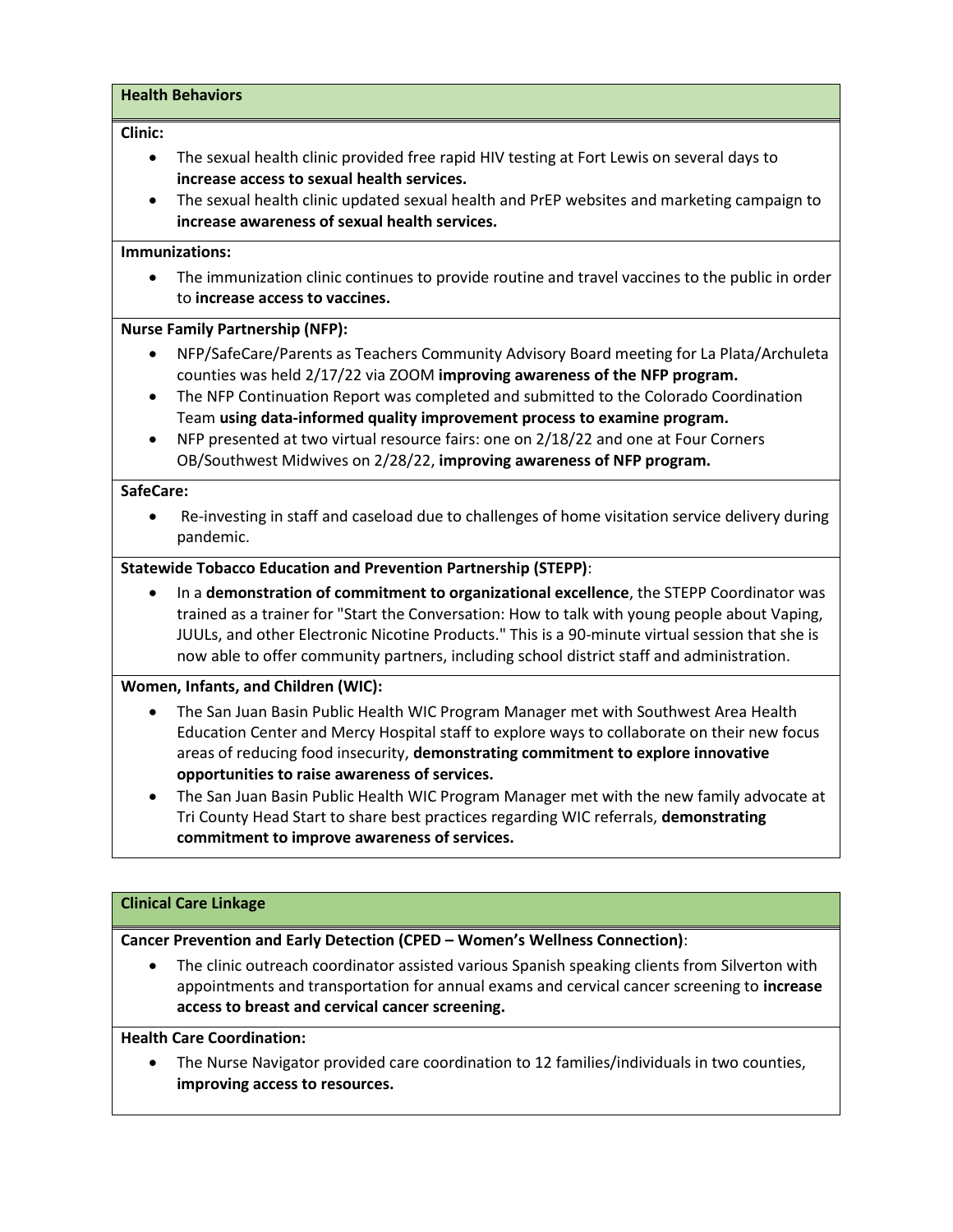#### **Health Behaviors**

#### **Clinic:**

- The sexual health clinic provided free rapid HIV testing at Fort Lewis on several days to **increase access to sexual health services.**
- The sexual health clinic updated sexual health and PrEP websites and marketing campaign to **increase awareness of sexual health services.**

#### **Immunizations:**

• The immunization clinic continues to provide routine and travel vaccines to the public in order to **increase access to vaccines.**

#### **Nurse Family Partnership (NFP):**

- NFP/SafeCare/Parents as Teachers Community Advisory Board meeting for La Plata/Archuleta counties was held 2/17/22 via ZOOM **improving awareness of the NFP program.**
- The NFP Continuation Report was completed and submitted to the Colorado Coordination Team **using data-informed quality improvement process to examine program.**
- NFP presented at two virtual resource fairs: one on 2/18/22 and one at Four Corners OB/Southwest Midwives on 2/28/22, **improving awareness of NFP program.**

#### **SafeCare:**

• Re-investing in staff and caseload due to challenges of home visitation service delivery during pandemic.

#### **Statewide Tobacco Education and Prevention Partnership (STEPP)**:

• In a **demonstration of commitment to organizational excellence**, the STEPP Coordinator was trained as a trainer for "Start the Conversation: How to talk with young people about Vaping, JUULs, and other Electronic Nicotine Products." This is a 90-minute virtual session that she is now able to offer community partners, including school district staff and administration.

#### **Women, Infants, and Children (WIC):**

- The San Juan Basin Public Health WIC Program Manager met with Southwest Area Health Education Center and Mercy Hospital staff to explore ways to collaborate on their new focus areas of reducing food insecurity, **demonstrating commitment to explore innovative opportunities to raise awareness of services.**
- The San Juan Basin Public Health WIC Program Manager met with the new family advocate at Tri County Head Start to share best practices regarding WIC referrals, **demonstrating commitment to improve awareness of services.**

#### **Clinical Care Linkage**

#### **Cancer Prevention and Early Detection (CPED – Women's Wellness Connection)**:

• The clinic outreach coordinator assisted various Spanish speaking clients from Silverton with appointments and transportation for annual exams and cervical cancer screening to **increase access to breast and cervical cancer screening.**

#### **Health Care Coordination:**

• The Nurse Navigator provided care coordination to 12 families/individuals in two counties, **improving access to resources.**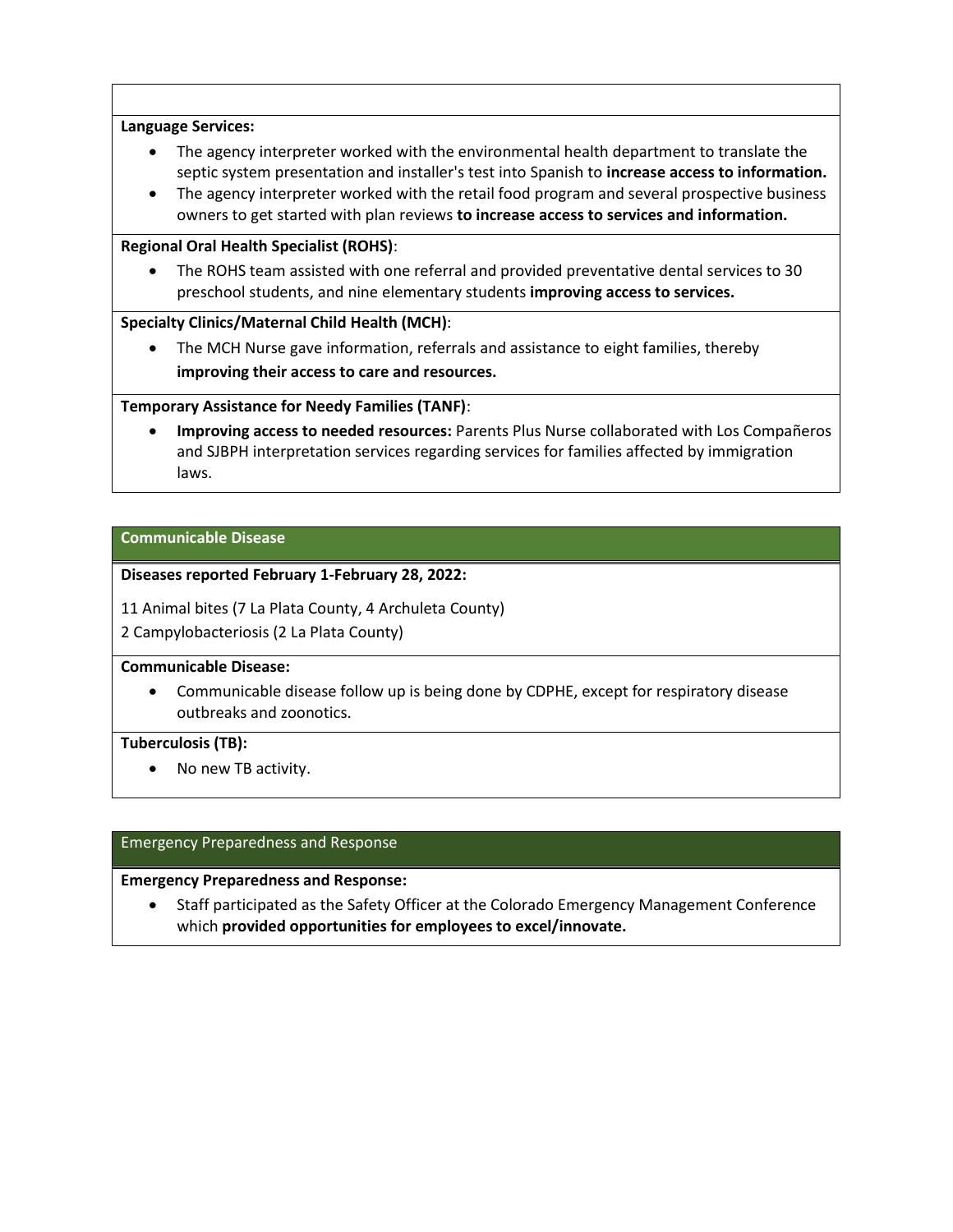#### **Language Services:**

- The agency interpreter worked with the environmental health department to translate the septic system presentation and installer's test into Spanish to **increase access to information.**
- The agency interpreter worked with the retail food program and several prospective business owners to get started with plan reviews **to increase access to services and information.**

#### **Regional Oral Health Specialist (ROHS)**:

• The ROHS team assisted with one referral and provided preventative dental services to 30 preschool students, and nine elementary students **improving access to services.**

#### **Specialty Clinics/Maternal Child Health (MCH)**:

• The MCH Nurse gave information, referrals and assistance to eight families, thereby **improving their access to care and resources.**

## **Temporary Assistance for Needy Families (TANF)**:

• **Improving access to needed resources:** Parents Plus Nurse collaborated with Los Compañeros and SJBPH interpretation services regarding services for families affected by immigration laws.

#### **Communicable Disease**

#### **Diseases reported February 1-February 28, 2022:**

11 Animal bites (7 La Plata County, 4 Archuleta County)

2 Campylobacteriosis (2 La Plata County)

#### **Communicable Disease:**

• Communicable disease follow up is being done by CDPHE, except for respiratory disease outbreaks and zoonotics.

#### **Tuberculosis (TB):**

• No new TB activity.

#### Emergency Preparedness and Response

#### **Emergency Preparedness and Response:**

• Staff participated as the Safety Officer at the Colorado Emergency Management Conference which **provided opportunities for employees to excel/innovate.**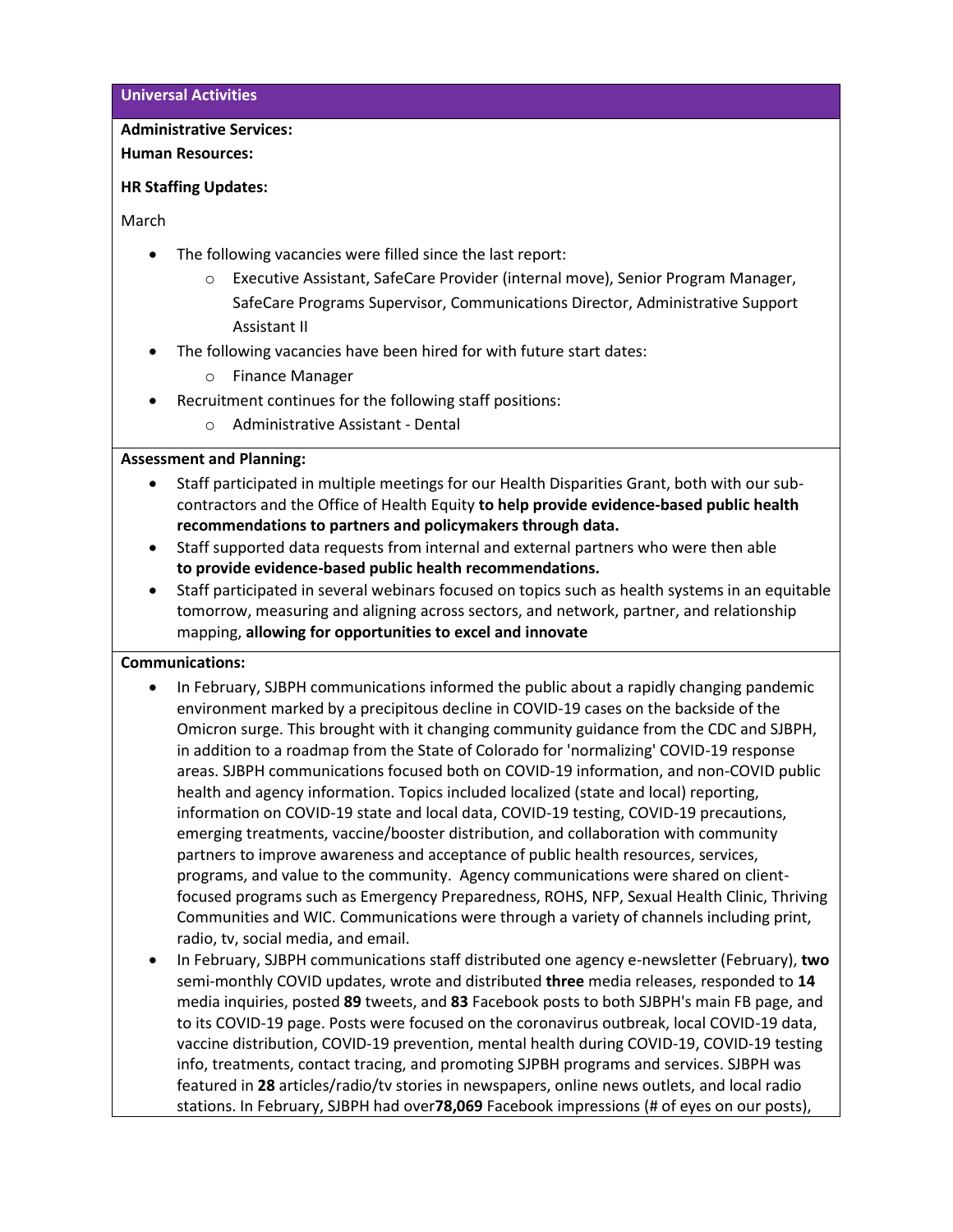**Universal Activities**

#### **Administrative Services:**

**Human Resources:** 

#### **HR Staffing Updates:**

March

- The following vacancies were filled since the last report:
	- o Executive Assistant, SafeCare Provider (internal move), Senior Program Manager, SafeCare Programs Supervisor, Communications Director, Administrative Support Assistant II
- The following vacancies have been hired for with future start dates:
	- o Finance Manager
- Recruitment continues for the following staff positions:
	- o Administrative Assistant Dental

## **Assessment and Planning:**

- Staff participated in multiple meetings for our Health Disparities Grant, both with our subcontractors and the Office of Health Equity **to help provide evidence-based public health recommendations to partners and policymakers through data.**
- Staff supported data requests from internal and external partners who were then able **to provide evidence-based public health recommendations.**
- Staff participated in several webinars focused on topics such as health systems in an equitable tomorrow, measuring and aligning across sectors, and network, partner, and relationship mapping, **allowing for opportunities to excel and innovate**

## **Communications:**

- In February, SJBPH communications informed the public about a rapidly changing pandemic environment marked by a precipitous decline in COVID-19 cases on the backside of the Omicron surge. This brought with it changing community guidance from the CDC and SJBPH, in addition to a roadmap from the State of Colorado for 'normalizing' COVID-19 response areas. SJBPH communications focused both on COVID-19 information, and non-COVID public health and agency information. Topics included localized (state and local) reporting, information on COVID-19 state and local data, COVID-19 testing, COVID-19 precautions, emerging treatments, vaccine/booster distribution, and collaboration with community partners to improve awareness and acceptance of public health resources, services, programs, and value to the community. Agency communications were shared on clientfocused programs such as Emergency Preparedness, ROHS, NFP, Sexual Health Clinic, Thriving Communities and WIC. Communications were through a variety of channels including print, radio, tv, social media, and email.
- In February, SJBPH communications staff distributed one agency e-newsletter (February), **two** semi-monthly COVID updates, wrote and distributed **three** media releases, responded to **14** media inquiries, posted **89** tweets, and **83** Facebook posts to both SJBPH's main FB page, and to its COVID-19 page. Posts were focused on the coronavirus outbreak, local COVID-19 data, vaccine distribution, COVID-19 prevention, mental health during COVID-19, COVID-19 testing info, treatments, contact tracing, and promoting SJPBH programs and services. SJBPH was featured in **28** articles/radio/tv stories in newspapers, online news outlets, and local radio stations. In February, SJBPH had over**78,069** Facebook impressions (# of eyes on our posts),